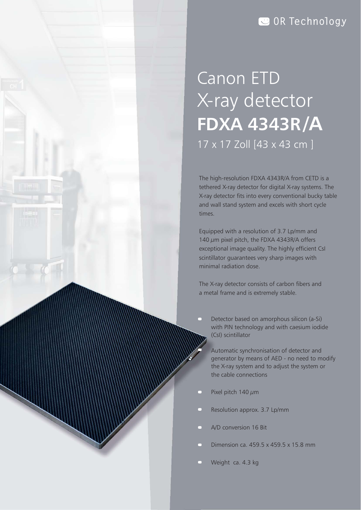## **OR Technology**

# X-ray detector Canon ETD **FDXA 4343R /A** 17 x 17 Zoll [43 x 43 cm ]

The high-resolution FDXA 4343R/A from CETD is a tethered X-ray detector for digital X-ray systems. The X-ray detector fits into every conventional bucky table and wall stand system and excels with short cycle times.

140  $\mu$ m pixel pitch, the FDXA 4343R/A offers exceptional image quality. The highly efficient CsI scintillator guarantees very sharp images with Equipped with a resolution of 3.7 Lp/mm and minimal radiation dose.

The X-ray detector consists of carbon fibers and a metal frame and is extremely stable.

with PIN technology and with caesium iodide Detector based on amorphous silicon (a-Si) (CsI) scintillator

the cable connections Automatic synchronisation of detector and generator by means of AED - no need to modify the X-ray system and to adjust the system or

- Pixel pitch  $140 \mu m$
- Resolution approx. 3.7 Lp/mm
- A/D conversion 16 Bit
- Dimension ca. 459.5 x 459.5 x 15.8 mm
- Weight ca. 4.3 kg